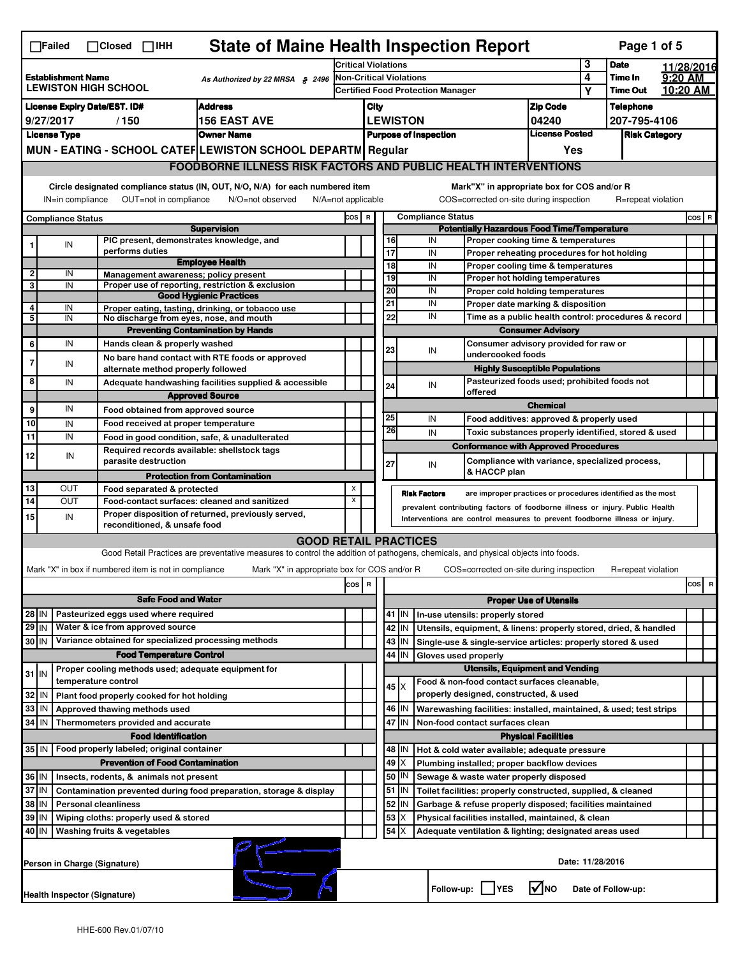|                                                                                             | $\Box$ Failed                                                                                                                                                                                                                                                                         | $\Box$ Closed $\Box$ IHH                                                   | <b>State of Maine Health Inspection Report</b>                                                                                    |     |                                                       |                                        |             |                     |                          |                                                                              |                               |   | Page 1 of 5        |  |                                 |
|---------------------------------------------------------------------------------------------|---------------------------------------------------------------------------------------------------------------------------------------------------------------------------------------------------------------------------------------------------------------------------------------|----------------------------------------------------------------------------|-----------------------------------------------------------------------------------------------------------------------------------|-----|-------------------------------------------------------|----------------------------------------|-------------|---------------------|--------------------------|------------------------------------------------------------------------------|-------------------------------|---|--------------------|--|---------------------------------|
|                                                                                             |                                                                                                                                                                                                                                                                                       |                                                                            | <b>Critical Violations</b>                                                                                                        |     |                                                       |                                        |             | 3                   | <b>Date</b>              |                                                                              | 11/28/2016                    |   |                    |  |                                 |
| <b>Establishment Name</b><br>As Authorized by 22 MRSA § 2496<br><b>LEWISTON HIGH SCHOOL</b> |                                                                                                                                                                                                                                                                                       | <b>Non-Critical Violations</b><br><b>Certified Food Protection Manager</b> |                                                                                                                                   |     |                                                       |                                        | 4           | Time In             | 9:20 AM                  |                                                                              |                               |   |                    |  |                                 |
|                                                                                             |                                                                                                                                                                                                                                                                                       |                                                                            |                                                                                                                                   |     |                                                       |                                        |             |                     |                          |                                                                              |                               | Υ | <b>Time Out</b>    |  | 10:20 AM                        |
|                                                                                             |                                                                                                                                                                                                                                                                                       | <b>License Expiry Date/EST. ID#</b>                                        | <b>Address</b>                                                                                                                    |     | City                                                  |                                        |             |                     |                          |                                                                              | <b>Zip Code</b>               |   | <b>Telephone</b>   |  |                                 |
|                                                                                             | 9/27/2017<br>/150<br>156 EAST AVE                                                                                                                                                                                                                                                     |                                                                            |                                                                                                                                   |     | <b>LEWISTON</b><br>04240                              |                                        |             |                     | 207-795-4106             |                                                                              |                               |   |                    |  |                                 |
|                                                                                             | <b>Owner Name</b><br><b>License Type</b>                                                                                                                                                                                                                                              |                                                                            |                                                                                                                                   |     | <b>License Posted</b><br><b>Purpose of Inspection</b> |                                        |             |                     |                          | <b>Risk Category</b>                                                         |                               |   |                    |  |                                 |
|                                                                                             |                                                                                                                                                                                                                                                                                       |                                                                            | MUN - EATING - SCHOOL CATEF LEWISTON SCHOOL DEPARTN Regular                                                                       |     | Yes                                                   |                                        |             |                     |                          |                                                                              |                               |   |                    |  |                                 |
|                                                                                             | <b>FOODBORNE ILLNESS RISK FACTORS AND PUBLIC HEALTH INTERVENTIONS</b>                                                                                                                                                                                                                 |                                                                            |                                                                                                                                   |     |                                                       |                                        |             |                     |                          |                                                                              |                               |   |                    |  |                                 |
|                                                                                             | Circle designated compliance status (IN, OUT, N/O, N/A) for each numbered item<br>Mark"X" in appropriate box for COS and/or R<br>OUT=not in compliance<br>COS=corrected on-site during inspection<br>IN=in compliance<br>N/O=not observed<br>N/A=not applicable<br>R=repeat violation |                                                                            |                                                                                                                                   |     |                                                       |                                        |             |                     |                          |                                                                              |                               |   |                    |  |                                 |
|                                                                                             |                                                                                                                                                                                                                                                                                       |                                                                            |                                                                                                                                   |     |                                                       |                                        |             |                     |                          |                                                                              |                               |   |                    |  |                                 |
|                                                                                             | <b>Compliance Status</b>                                                                                                                                                                                                                                                              |                                                                            | <b>Supervision</b>                                                                                                                | cos | $\overline{\mathbf{R}}$                               |                                        |             |                     | <b>Compliance Status</b> | <b>Potentially Hazardous Food Time/Temperature</b>                           |                               |   |                    |  | $cos$ R                         |
|                                                                                             | IN                                                                                                                                                                                                                                                                                    | PIC present, demonstrates knowledge, and                                   |                                                                                                                                   |     |                                                       |                                        | 16          |                     | IN                       | Proper cooking time & temperatures                                           |                               |   |                    |  |                                 |
|                                                                                             |                                                                                                                                                                                                                                                                                       | performs duties                                                            |                                                                                                                                   |     |                                                       |                                        | 17          |                     | IN                       | Proper reheating procedures for hot holding                                  |                               |   |                    |  |                                 |
|                                                                                             |                                                                                                                                                                                                                                                                                       |                                                                            | <b>Employee Health</b>                                                                                                            |     |                                                       |                                        | 18          |                     | IN                       | Proper cooling time & temperatures                                           |                               |   |                    |  |                                 |
| $\overline{\mathbf{2}}$<br>3                                                                | IN<br>IN                                                                                                                                                                                                                                                                              | Management awareness; policy present                                       | Proper use of reporting, restriction & exclusion                                                                                  |     |                                                       |                                        | 19          |                     | IN                       | Proper hot holding temperatures                                              |                               |   |                    |  |                                 |
|                                                                                             |                                                                                                                                                                                                                                                                                       |                                                                            | <b>Good Hygienic Practices</b>                                                                                                    |     |                                                       |                                        | 20          |                     | IN                       | Proper cold holding temperatures                                             |                               |   |                    |  |                                 |
| 4                                                                                           | IN                                                                                                                                                                                                                                                                                    |                                                                            | Proper eating, tasting, drinking, or tobacco use                                                                                  |     |                                                       |                                        | 21          |                     | IN                       | Proper date marking & disposition                                            |                               |   |                    |  |                                 |
| 5                                                                                           | IN                                                                                                                                                                                                                                                                                    | No discharge from eyes, nose, and mouth                                    |                                                                                                                                   |     |                                                       |                                        | 22          |                     | IN                       | Time as a public health control: procedures & record                         |                               |   |                    |  |                                 |
|                                                                                             |                                                                                                                                                                                                                                                                                       |                                                                            | <b>Preventing Contamination by Hands</b>                                                                                          |     |                                                       |                                        |             |                     |                          |                                                                              | <b>Consumer Advisory</b>      |   |                    |  |                                 |
| 6                                                                                           | IN                                                                                                                                                                                                                                                                                    | Hands clean & properly washed                                              |                                                                                                                                   |     |                                                       |                                        | 23          |                     | IN                       | Consumer advisory provided for raw or<br>undercooked foods                   |                               |   |                    |  |                                 |
| 7                                                                                           | IN                                                                                                                                                                                                                                                                                    |                                                                            | No bare hand contact with RTE foods or approved                                                                                   |     |                                                       |                                        |             |                     |                          | <b>Highly Susceptible Populations</b>                                        |                               |   |                    |  |                                 |
| 8                                                                                           | IN                                                                                                                                                                                                                                                                                    | alternate method properly followed                                         |                                                                                                                                   |     |                                                       |                                        |             |                     |                          | Pasteurized foods used; prohibited foods not                                 |                               |   |                    |  |                                 |
|                                                                                             |                                                                                                                                                                                                                                                                                       |                                                                            | Adequate handwashing facilities supplied & accessible<br><b>Approved Source</b>                                                   |     |                                                       |                                        | 24          |                     | IN                       | offered                                                                      |                               |   |                    |  |                                 |
| 9                                                                                           | IN                                                                                                                                                                                                                                                                                    |                                                                            |                                                                                                                                   |     |                                                       |                                        |             |                     |                          |                                                                              | <b>Chemical</b>               |   |                    |  |                                 |
|                                                                                             |                                                                                                                                                                                                                                                                                       | Food obtained from approved source                                         |                                                                                                                                   |     |                                                       |                                        | 25          |                     | IN                       | Food additives: approved & properly used                                     |                               |   |                    |  |                                 |
| 10                                                                                          | IN                                                                                                                                                                                                                                                                                    | Food received at proper temperature                                        |                                                                                                                                   |     |                                                       |                                        | 26          |                     | IN                       | Toxic substances properly identified, stored & used                          |                               |   |                    |  |                                 |
| 11                                                                                          | IN                                                                                                                                                                                                                                                                                    |                                                                            | Food in good condition, safe, & unadulterated                                                                                     |     |                                                       |                                        |             |                     |                          | <b>Conformance with Approved Procedures</b>                                  |                               |   |                    |  |                                 |
| 12                                                                                          | IN                                                                                                                                                                                                                                                                                    | Required records available: shellstock tags<br>parasite destruction        |                                                                                                                                   |     |                                                       |                                        | 27          |                     | IN                       | Compliance with variance, specialized process,                               |                               |   |                    |  |                                 |
|                                                                                             |                                                                                                                                                                                                                                                                                       |                                                                            | <b>Protection from Contamination</b>                                                                                              |     |                                                       |                                        |             |                     |                          | & HACCP plan                                                                 |                               |   |                    |  |                                 |
| 13                                                                                          | OUT                                                                                                                                                                                                                                                                                   | Food separated & protected                                                 |                                                                                                                                   | X   |                                                       |                                        |             | <b>Risk Factors</b> |                          | are improper practices or procedures identified as the most                  |                               |   |                    |  |                                 |
| 14                                                                                          | <b>OUT</b>                                                                                                                                                                                                                                                                            |                                                                            | Food-contact surfaces: cleaned and sanitized                                                                                      | X   |                                                       |                                        |             |                     |                          | prevalent contributing factors of foodborne illness or injury. Public Health |                               |   |                    |  |                                 |
| 15                                                                                          | IN                                                                                                                                                                                                                                                                                    | reconditioned, & unsafe food                                               | Proper disposition of returned, previously served,                                                                                |     |                                                       |                                        |             |                     |                          | Interventions are control measures to prevent foodborne illness or injury.   |                               |   |                    |  |                                 |
|                                                                                             |                                                                                                                                                                                                                                                                                       |                                                                            | <b>GOOD RETAIL PRACTICES</b>                                                                                                      |     |                                                       |                                        |             |                     |                          |                                                                              |                               |   |                    |  |                                 |
|                                                                                             |                                                                                                                                                                                                                                                                                       |                                                                            | Good Retail Practices are preventative measures to control the addition of pathogens, chemicals, and physical objects into foods. |     |                                                       |                                        |             |                     |                          |                                                                              |                               |   |                    |  |                                 |
|                                                                                             |                                                                                                                                                                                                                                                                                       | Mark "X" in box if numbered item is not in compliance                      | Mark "X" in appropriate box for COS and/or R                                                                                      |     |                                                       |                                        |             |                     |                          | COS=corrected on-site during inspection                                      |                               |   | R=repeat violation |  |                                 |
|                                                                                             |                                                                                                                                                                                                                                                                                       |                                                                            |                                                                                                                                   | cos | R                                                     |                                        |             |                     |                          |                                                                              |                               |   |                    |  | cosl<br>$\overline{\mathbf{R}}$ |
|                                                                                             |                                                                                                                                                                                                                                                                                       | <b>Safe Food and Water</b>                                                 |                                                                                                                                   |     |                                                       |                                        |             |                     |                          |                                                                              | <b>Proper Use of Utensils</b> |   |                    |  |                                 |
| 28 IN                                                                                       |                                                                                                                                                                                                                                                                                       | Pasteurized eggs used where required                                       |                                                                                                                                   |     |                                                       |                                        | $41$   IN   |                     |                          | In-use utensils: properly stored                                             |                               |   |                    |  |                                 |
| $29$ IN                                                                                     |                                                                                                                                                                                                                                                                                       | Water & ice from approved source                                           |                                                                                                                                   |     |                                                       |                                        | 42          | IN                  |                          | Utensils, equipment, & linens: properly stored, dried, & handled             |                               |   |                    |  |                                 |
| 30 IN                                                                                       |                                                                                                                                                                                                                                                                                       | Variance obtained for specialized processing methods                       |                                                                                                                                   |     |                                                       |                                        | 43          | IN                  |                          | Single-use & single-service articles: properly stored & used                 |                               |   |                    |  |                                 |
|                                                                                             |                                                                                                                                                                                                                                                                                       | <b>Food Temperature Control</b>                                            |                                                                                                                                   |     |                                                       |                                        | 44          | IN                  |                          | Gloves used properly                                                         |                               |   |                    |  |                                 |
|                                                                                             |                                                                                                                                                                                                                                                                                       | Proper cooling methods used; adequate equipment for                        |                                                                                                                                   |     |                                                       | <b>Utensils, Equipment and Vending</b> |             |                     |                          |                                                                              |                               |   |                    |  |                                 |
| $31$ IN                                                                                     |                                                                                                                                                                                                                                                                                       | temperature control                                                        |                                                                                                                                   |     |                                                       |                                        |             |                     |                          | Food & non-food contact surfaces cleanable,                                  |                               |   |                    |  |                                 |
| $32$ IN                                                                                     |                                                                                                                                                                                                                                                                                       | Plant food properly cooked for hot holding                                 |                                                                                                                                   |     |                                                       |                                        | $45 \times$ |                     |                          | properly designed, constructed, & used                                       |                               |   |                    |  |                                 |
| 33 IN                                                                                       |                                                                                                                                                                                                                                                                                       | Approved thawing methods used                                              |                                                                                                                                   |     |                                                       |                                        | 46   IN     |                     |                          | Warewashing facilities: installed, maintained, & used; test strips           |                               |   |                    |  |                                 |
| 34 IN                                                                                       |                                                                                                                                                                                                                                                                                       | Thermometers provided and accurate                                         |                                                                                                                                   |     |                                                       |                                        | 47          | IN                  |                          | Non-food contact surfaces clean                                              |                               |   |                    |  |                                 |
|                                                                                             |                                                                                                                                                                                                                                                                                       | <b>Food Identification</b>                                                 |                                                                                                                                   |     |                                                       |                                        |             |                     |                          |                                                                              | <b>Physical Facilities</b>    |   |                    |  |                                 |
| 35 IN                                                                                       |                                                                                                                                                                                                                                                                                       | Food properly labeled; original container                                  |                                                                                                                                   |     |                                                       |                                        | 48          | IN                  |                          | Hot & cold water available; adequate pressure                                |                               |   |                    |  |                                 |
|                                                                                             |                                                                                                                                                                                                                                                                                       | <b>Prevention of Food Contamination</b>                                    |                                                                                                                                   |     |                                                       |                                        | 49          | Х                   |                          | Plumbing installed; proper backflow devices                                  |                               |   |                    |  |                                 |
| 36 IN                                                                                       |                                                                                                                                                                                                                                                                                       | Insects, rodents, & animals not present                                    |                                                                                                                                   |     |                                                       |                                        | 50          | IN                  |                          | Sewage & waste water properly disposed                                       |                               |   |                    |  |                                 |
| 37 IN                                                                                       |                                                                                                                                                                                                                                                                                       |                                                                            | Contamination prevented during food preparation, storage & display                                                                |     |                                                       |                                        | 51          | IN                  |                          | Toilet facilities: properly constructed, supplied, & cleaned                 |                               |   |                    |  |                                 |
|                                                                                             | 38 IN<br><b>Personal cleanliness</b>                                                                                                                                                                                                                                                  |                                                                            |                                                                                                                                   |     |                                                       |                                        | 52          | IN                  |                          | Garbage & refuse properly disposed; facilities maintained                    |                               |   |                    |  |                                 |
|                                                                                             | 39 IN<br>Wiping cloths: properly used & stored                                                                                                                                                                                                                                        |                                                                            |                                                                                                                                   |     |                                                       |                                        | 53          |                     |                          | Physical facilities installed, maintained, & clean                           |                               |   |                    |  |                                 |
|                                                                                             | 40   IN<br>Washing fruits & vegetables                                                                                                                                                                                                                                                |                                                                            |                                                                                                                                   |     |                                                       |                                        | 54          |                     |                          | Adequate ventilation & lighting; designated areas used                       |                               |   |                    |  |                                 |
|                                                                                             | Date: 11/28/2016<br>Person in Charge (Signature)                                                                                                                                                                                                                                      |                                                                            |                                                                                                                                   |     |                                                       |                                        |             |                     |                          |                                                                              |                               |   |                    |  |                                 |
|                                                                                             |                                                                                                                                                                                                                                                                                       | <b>Health Inspector (Signature)</b>                                        |                                                                                                                                   |     |                                                       |                                        |             |                     | Follow-up:               | <b>IYES</b>                                                                  | l✔lno                         |   | Date of Follow-up: |  |                                 |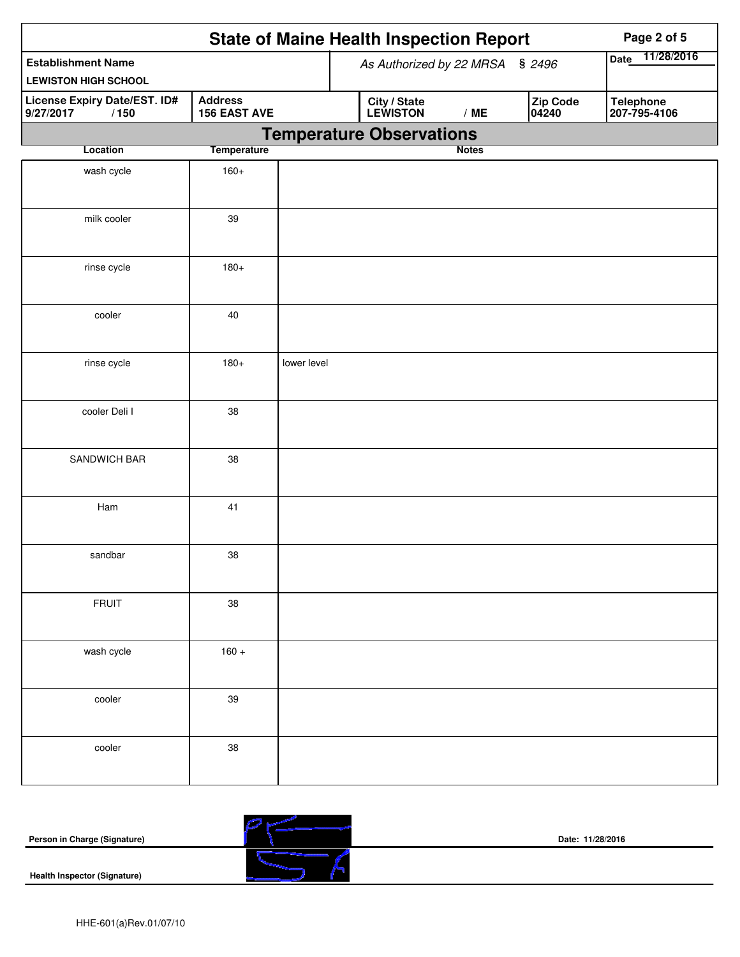|                                                          |                                       | <b>State of Maine Health Inspection Report</b>       | Page 2 of 5                      |
|----------------------------------------------------------|---------------------------------------|------------------------------------------------------|----------------------------------|
| <b>Establishment Name</b><br><b>LEWISTON HIGH SCHOOL</b> |                                       | As Authorized by 22 MRSA § 2496                      | 11/28/2016<br>Date               |
| License Expiry Date/EST. ID#<br>9/27/2017<br>/150        | <b>Address</b><br><b>156 EAST AVE</b> | Zip Code<br>City / State<br>LEWISTON<br>/ME<br>04240 | <b>Telephone</b><br>207-795-4106 |
|                                                          |                                       | <b>Temperature Observations</b><br><b>Notes</b>      |                                  |
| Location                                                 | <b>Temperature</b>                    |                                                      |                                  |
| wash cycle                                               | $160+$                                |                                                      |                                  |
| milk cooler                                              | 39                                    |                                                      |                                  |
| rinse cycle                                              | $180+$                                |                                                      |                                  |
| cooler                                                   | 40                                    |                                                      |                                  |
| rinse cycle                                              | $180+$                                | lower level                                          |                                  |
| cooler Deli I                                            | 38                                    |                                                      |                                  |
| SANDWICH BAR                                             | 38                                    |                                                      |                                  |
| Ham                                                      | 41                                    |                                                      |                                  |
| sandbar                                                  | 38                                    |                                                      |                                  |
| <b>FRUIT</b>                                             | 38                                    |                                                      |                                  |
| wash cycle                                               | $160 +$                               |                                                      |                                  |
| cooler                                                   | $39\,$                                |                                                      |                                  |
| cooler                                                   | 38                                    |                                                      |                                  |

| Person in Charge (Signature)        | Date: 11/28/2016 |
|-------------------------------------|------------------|
| <b>Health Inspector (Signature)</b> |                  |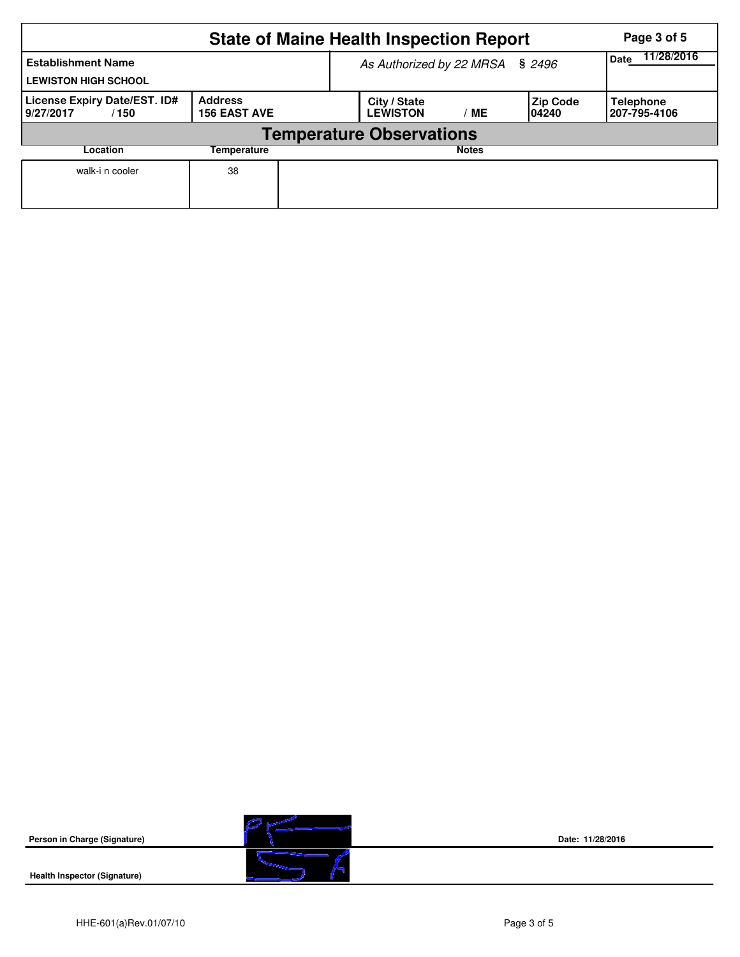|                                                          | Page 3 of 5                           |  |                                 |              |                           |                                  |
|----------------------------------------------------------|---------------------------------------|--|---------------------------------|--------------|---------------------------|----------------------------------|
| <b>Establishment Name</b><br><b>LEWISTON HIGH SCHOOL</b> | As Authorized by 22 MRSA § 2496       |  |                                 |              | 11/28/2016<br>Date        |                                  |
| License Expiry Date/EST. ID#<br>9/27/2017<br>/ 150       | <b>Address</b><br><b>156 EAST AVE</b> |  | City / State<br><b>LEWISTON</b> | МE           | <b>Zip Code</b><br>104240 | <b>Telephone</b><br>207-795-4106 |
|                                                          |                                       |  |                                 |              |                           |                                  |
| Location                                                 | Temperature                           |  |                                 | <b>Notes</b> |                           |                                  |
| walk-i n cooler                                          | 38                                    |  |                                 |              |                           |                                  |

**Person in Charge (Signature)**

**Health Inspector (Signature)** 



**Date: 11/28/2016**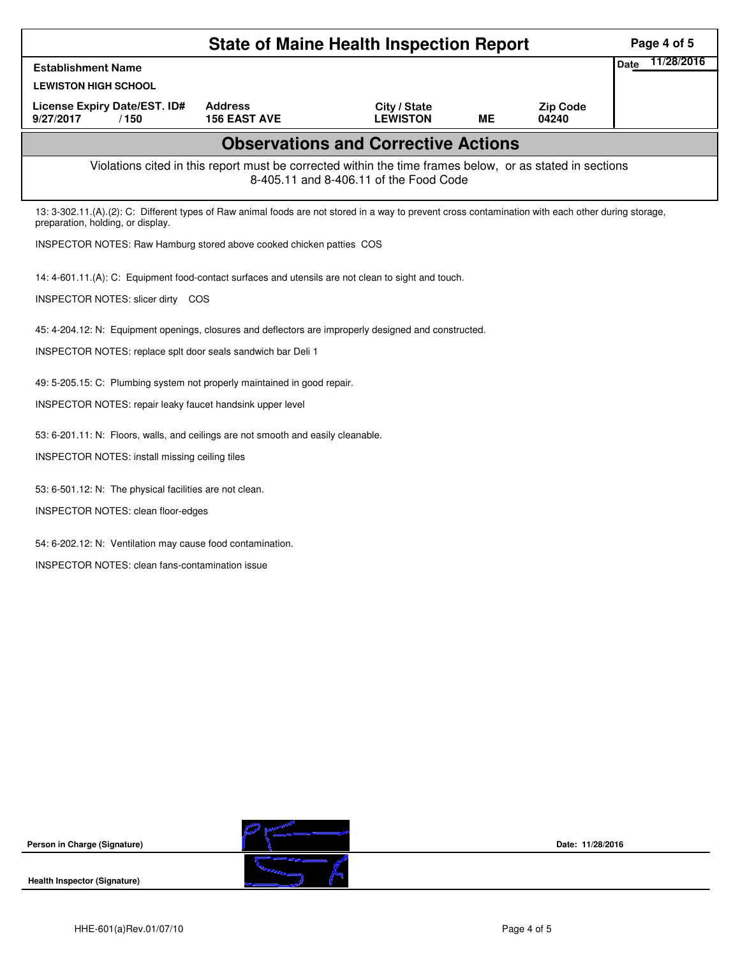|                                                                                                                                                                                          |                                       | <b>State of Maine Health Inspection Report</b>                                                                                                     |    |                          | Page 4 of 5               |
|------------------------------------------------------------------------------------------------------------------------------------------------------------------------------------------|---------------------------------------|----------------------------------------------------------------------------------------------------------------------------------------------------|----|--------------------------|---------------------------|
| <b>Establishment Name</b>                                                                                                                                                                |                                       |                                                                                                                                                    |    |                          | 11/28/2016<br><b>Date</b> |
| <b>LEWISTON HIGH SCHOOL</b>                                                                                                                                                              |                                       |                                                                                                                                                    |    |                          |                           |
| License Expiry Date/EST. ID#<br>9/27/2017<br>/150                                                                                                                                        | <b>Address</b><br><b>156 EAST AVE</b> | City / State<br><b>LEWISTON</b>                                                                                                                    | ME | <b>Zip Code</b><br>04240 |                           |
|                                                                                                                                                                                          |                                       | <b>Observations and Corrective Actions</b>                                                                                                         |    |                          |                           |
|                                                                                                                                                                                          |                                       | Violations cited in this report must be corrected within the time frames below, or as stated in sections<br>8-405.11 and 8-406.11 of the Food Code |    |                          |                           |
| 13: 3-302.11.(A).(2): C: Different types of Raw animal foods are not stored in a way to prevent cross contamination with each other during storage,<br>preparation, holding, or display. |                                       |                                                                                                                                                    |    |                          |                           |
| INSPECTOR NOTES: Raw Hamburg stored above cooked chicken patties COS                                                                                                                     |                                       |                                                                                                                                                    |    |                          |                           |
| 14: 4-601.11.(A): C: Equipment food-contact surfaces and utensils are not clean to sight and touch.                                                                                      |                                       |                                                                                                                                                    |    |                          |                           |
| INSPECTOR NOTES: slicer dirty COS                                                                                                                                                        |                                       |                                                                                                                                                    |    |                          |                           |
| 45: 4-204.12: N: Equipment openings, closures and deflectors are improperly designed and constructed.                                                                                    |                                       |                                                                                                                                                    |    |                          |                           |
| INSPECTOR NOTES: replace splt door seals sandwich bar Deli 1                                                                                                                             |                                       |                                                                                                                                                    |    |                          |                           |
| 49: 5-205.15: C: Plumbing system not properly maintained in good repair.                                                                                                                 |                                       |                                                                                                                                                    |    |                          |                           |
| INSPECTOR NOTES: repair leaky faucet handsink upper level                                                                                                                                |                                       |                                                                                                                                                    |    |                          |                           |
| 53: 6-201.11: N: Floors, walls, and ceilings are not smooth and easily cleanable.                                                                                                        |                                       |                                                                                                                                                    |    |                          |                           |
| INSPECTOR NOTES: install missing ceiling tiles                                                                                                                                           |                                       |                                                                                                                                                    |    |                          |                           |
| 53: 6-501.12: N: The physical facilities are not clean.                                                                                                                                  |                                       |                                                                                                                                                    |    |                          |                           |
| INSPECTOR NOTES: clean floor-edges                                                                                                                                                       |                                       |                                                                                                                                                    |    |                          |                           |
| 54: 6-202.12: N: Ventilation may cause food contamination.                                                                                                                               |                                       |                                                                                                                                                    |    |                          |                           |
| INSPECTOR NOTES: clean fans-contamination issue                                                                                                                                          |                                       |                                                                                                                                                    |    |                          |                           |
|                                                                                                                                                                                          |                                       |                                                                                                                                                    |    |                          |                           |
|                                                                                                                                                                                          |                                       |                                                                                                                                                    |    |                          |                           |
|                                                                                                                                                                                          |                                       |                                                                                                                                                    |    |                          |                           |
|                                                                                                                                                                                          |                                       |                                                                                                                                                    |    |                          |                           |

**Person in Charge (Signature)**



**Date: 11/28/2016**

**Health Inspector (Signature)**